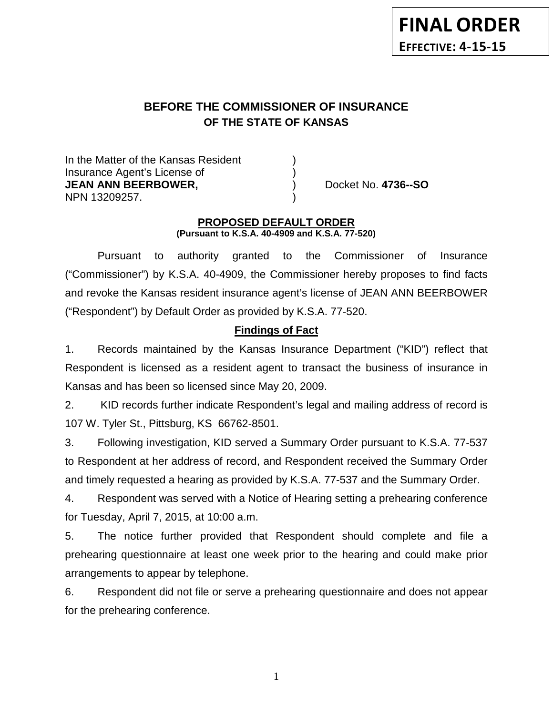# **BEFORE THE COMMISSIONER OF INSURANCE OF THE STATE OF KANSAS**

In the Matter of the Kansas Resident Insurance Agent's License of ) **JEAN ANN BEERBOWER,** ) Docket No. **4736--SO** NPN 13209257. )

### **PROPOSED DEFAULT ORDER (Pursuant to K.S.A. 40-4909 and K.S.A. 77-520)**

Pursuant to authority granted to the Commissioner of Insurance ("Commissioner") by K.S.A. 40-4909, the Commissioner hereby proposes to find facts and revoke the Kansas resident insurance agent's license of JEAN ANN BEERBOWER ("Respondent") by Default Order as provided by K.S.A. 77-520.

## **Findings of Fact**

1. Records maintained by the Kansas Insurance Department ("KID") reflect that Respondent is licensed as a resident agent to transact the business of insurance in Kansas and has been so licensed since May 20, 2009.

2. KID records further indicate Respondent's legal and mailing address of record is 107 W. Tyler St., Pittsburg, KS 66762-8501.

3. Following investigation, KID served a Summary Order pursuant to K.S.A. 77-537 to Respondent at her address of record, and Respondent received the Summary Order and timely requested a hearing as provided by K.S.A. 77-537 and the Summary Order.

4. Respondent was served with a Notice of Hearing setting a prehearing conference for Tuesday, April 7, 2015, at 10:00 a.m.

5. The notice further provided that Respondent should complete and file a prehearing questionnaire at least one week prior to the hearing and could make prior arrangements to appear by telephone.

6. Respondent did not file or serve a prehearing questionnaire and does not appear for the prehearing conference.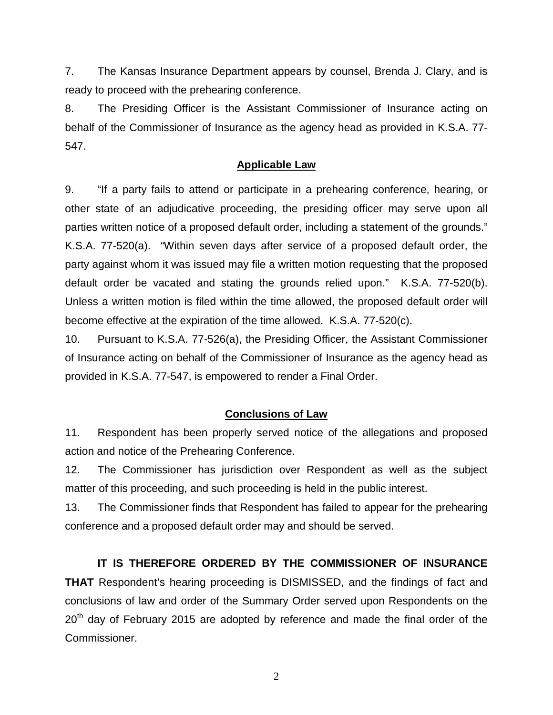7. The Kansas Insurance Department appears by counsel, Brenda J. Clary, and is ready to proceed with the prehearing conference.

8. The Presiding Officer is the Assistant Commissioner of Insurance acting on behalf of the Commissioner of Insurance as the agency head as provided in K.S.A. 77- 547.

### **Applicable Law**

9. "If a party fails to attend or participate in a prehearing conference, hearing, or other state of an adjudicative proceeding, the presiding officer may serve upon all parties written notice of a proposed default order, including a statement of the grounds." K.S.A. 77-520(a). "Within seven days after service of a proposed default order, the party against whom it was issued may file a written motion requesting that the proposed default order be vacated and stating the grounds relied upon." K.S.A. 77-520(b). Unless a written motion is filed within the time allowed, the proposed default order will become effective at the expiration of the time allowed. K.S.A. 77-520(c).

10. Pursuant to K.S.A. 77-526(a), the Presiding Officer, the Assistant Commissioner of Insurance acting on behalf of the Commissioner of Insurance as the agency head as provided in K.S.A. 77-547, is empowered to render a Final Order.

### **Conclusions of Law**

11. Respondent has been properly served notice of the allegations and proposed action and notice of the Prehearing Conference.

12. The Commissioner has jurisdiction over Respondent as well as the subject matter of this proceeding, and such proceeding is held in the public interest.

13. The Commissioner finds that Respondent has failed to appear for the prehearing conference and a proposed default order may and should be served.

**IT IS THEREFORE ORDERED BY THE COMMISSIONER OF INSURANCE THAT** Respondent's hearing proceeding is DISMISSED, and the findings of fact and conclusions of law and order of the Summary Order served upon Respondents on the  $20<sup>th</sup>$  day of February 2015 are adopted by reference and made the final order of the Commissioner.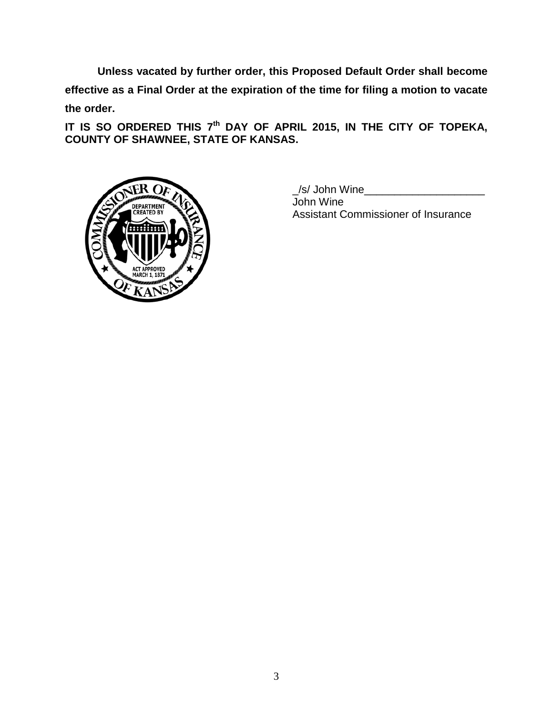**Unless vacated by further order, this Proposed Default Order shall become effective as a Final Order at the expiration of the time for filing a motion to vacate the order.**

**IT IS SO ORDERED THIS 7th DAY OF APRIL 2015, IN THE CITY OF TOPEKA, COUNTY OF SHAWNEE, STATE OF KANSAS.**



/s/ John Wine John Wine Assistant Commissioner of Insurance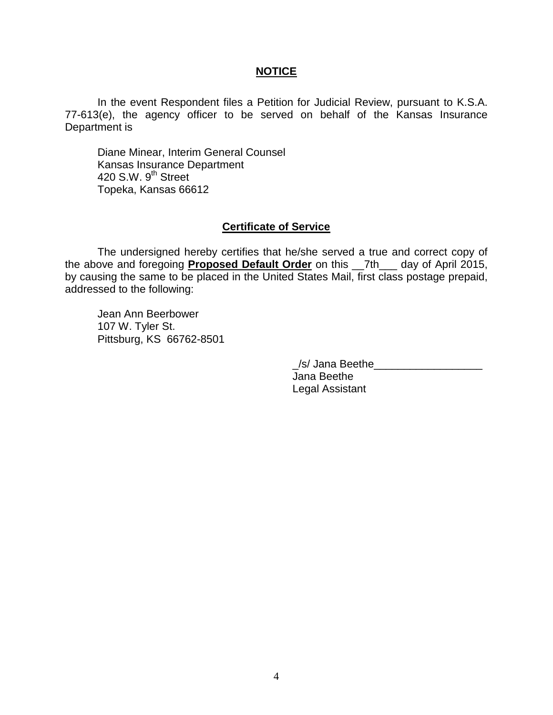### **NOTICE**

In the event Respondent files a Petition for Judicial Review, pursuant to K.S.A. 77-613(e), the agency officer to be served on behalf of the Kansas Insurance Department is

Diane Minear, Interim General Counsel Kansas Insurance Department 420 S.W. 9<sup>th</sup> Street Topeka, Kansas 66612

### **Certificate of Service**

The undersigned hereby certifies that he/she served a true and correct copy of the above and foregoing **Proposed Default Order** on this \_\_7th\_\_\_ day of April 2015, by causing the same to be placed in the United States Mail, first class postage prepaid, addressed to the following:

Jean Ann Beerbower 107 W. Tyler St. Pittsburg, KS 66762-8501

| $\frac{1}{s}$ Jana Beethe |  |
|---------------------------|--|
| Jana Beethe               |  |
| Legal Assistant           |  |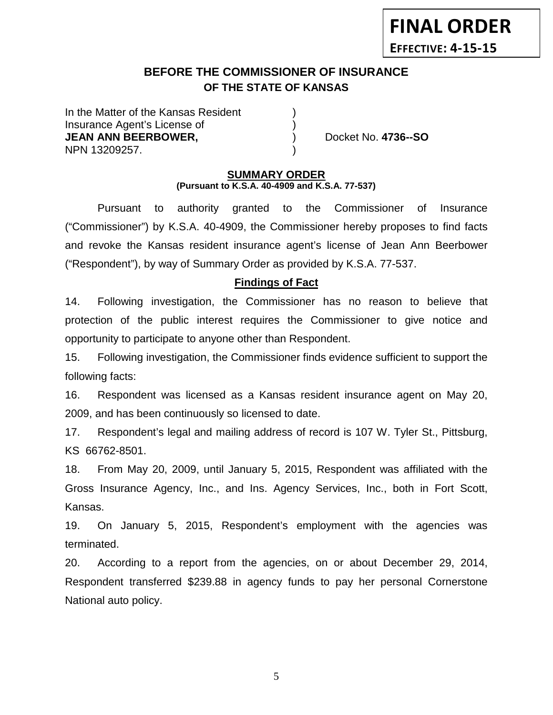## **BEFORE THE COMMISSIONER OF INSURANCE OF THE STATE OF KANSAS**

In the Matter of the Kansas Resident Insurance Agent's License of ) **JEAN ANN BEERBOWER,** (a) Docket No. 4736--SO NPN 13209257. )

#### **SUMMARY ORDER (Pursuant to K.S.A. 40-4909 and K.S.A. 77-537)**

Pursuant to authority granted to the Commissioner of Insurance ("Commissioner") by K.S.A. 40-4909, the Commissioner hereby proposes to find facts and revoke the Kansas resident insurance agent's license of Jean Ann Beerbower ("Respondent"), by way of Summary Order as provided by K.S.A. 77-537.

## **Findings of Fact**

14. Following investigation, the Commissioner has no reason to believe that protection of the public interest requires the Commissioner to give notice and opportunity to participate to anyone other than Respondent.

15. Following investigation, the Commissioner finds evidence sufficient to support the following facts:

16. Respondent was licensed as a Kansas resident insurance agent on May 20, 2009, and has been continuously so licensed to date.

17. Respondent's legal and mailing address of record is 107 W. Tyler St., Pittsburg, KS 66762-8501.

18. From May 20, 2009, until January 5, 2015, Respondent was affiliated with the Gross Insurance Agency, Inc., and Ins. Agency Services, Inc., both in Fort Scott, Kansas.

19. On January 5, 2015, Respondent's employment with the agencies was terminated.

20. According to a report from the agencies, on or about December 29, 2014, Respondent transferred \$239.88 in agency funds to pay her personal Cornerstone National auto policy.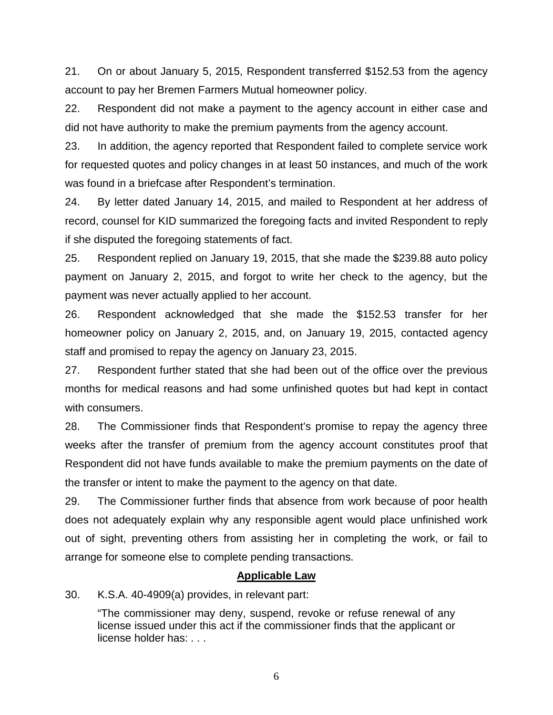21. On or about January 5, 2015, Respondent transferred \$152.53 from the agency account to pay her Bremen Farmers Mutual homeowner policy.

22. Respondent did not make a payment to the agency account in either case and did not have authority to make the premium payments from the agency account.

23. In addition, the agency reported that Respondent failed to complete service work for requested quotes and policy changes in at least 50 instances, and much of the work was found in a briefcase after Respondent's termination.

24. By letter dated January 14, 2015, and mailed to Respondent at her address of record, counsel for KID summarized the foregoing facts and invited Respondent to reply if she disputed the foregoing statements of fact.

25. Respondent replied on January 19, 2015, that she made the \$239.88 auto policy payment on January 2, 2015, and forgot to write her check to the agency, but the payment was never actually applied to her account.

26. Respondent acknowledged that she made the \$152.53 transfer for her homeowner policy on January 2, 2015, and, on January 19, 2015, contacted agency staff and promised to repay the agency on January 23, 2015.

27. Respondent further stated that she had been out of the office over the previous months for medical reasons and had some unfinished quotes but had kept in contact with consumers.

28. The Commissioner finds that Respondent's promise to repay the agency three weeks after the transfer of premium from the agency account constitutes proof that Respondent did not have funds available to make the premium payments on the date of the transfer or intent to make the payment to the agency on that date.

29. The Commissioner further finds that absence from work because of poor health does not adequately explain why any responsible agent would place unfinished work out of sight, preventing others from assisting her in completing the work, or fail to arrange for someone else to complete pending transactions.

## **Applicable Law**

30. K.S.A. 40-4909(a) provides, in relevant part:

"The commissioner may deny, suspend, revoke or refuse renewal of any license issued under this act if the commissioner finds that the applicant or license holder has: . . .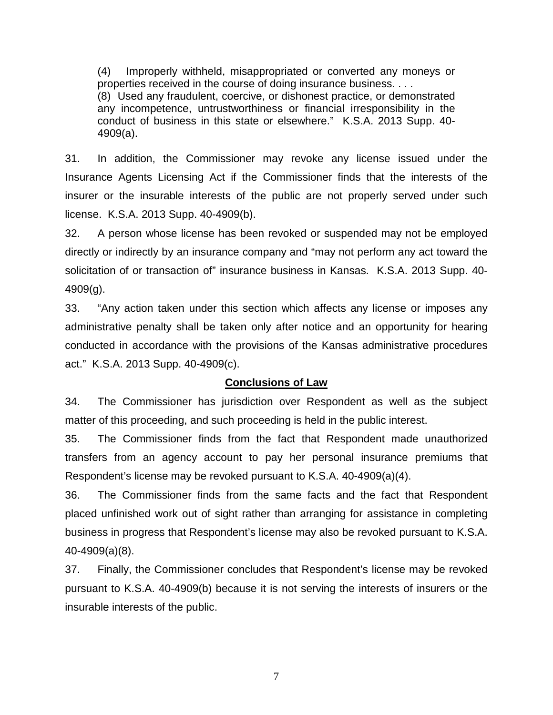(4) Improperly withheld, misappropriated or converted any moneys or properties received in the course of doing insurance business. . . . (8) Used any fraudulent, coercive, or dishonest practice, or demonstrated any incompetence, untrustworthiness or financial irresponsibility in the conduct of business in this state or elsewhere." K.S.A. 2013 Supp. 40- 4909(a).

31. In addition, the Commissioner may revoke any license issued under the Insurance Agents Licensing Act if the Commissioner finds that the interests of the insurer or the insurable interests of the public are not properly served under such license. K.S.A. 2013 Supp. 40-4909(b).

32. A person whose license has been revoked or suspended may not be employed directly or indirectly by an insurance company and "may not perform any act toward the solicitation of or transaction of" insurance business in Kansas. K.S.A. 2013 Supp. 40- 4909(g).

33. "Any action taken under this section which affects any license or imposes any administrative penalty shall be taken only after notice and an opportunity for hearing conducted in accordance with the provisions of the Kansas administrative procedures act." K.S.A. 2013 Supp. 40-4909(c).

## **Conclusions of Law**

34. The Commissioner has jurisdiction over Respondent as well as the subject matter of this proceeding, and such proceeding is held in the public interest.

35. The Commissioner finds from the fact that Respondent made unauthorized transfers from an agency account to pay her personal insurance premiums that Respondent's license may be revoked pursuant to K.S.A. 40-4909(a)(4).

36. The Commissioner finds from the same facts and the fact that Respondent placed unfinished work out of sight rather than arranging for assistance in completing business in progress that Respondent's license may also be revoked pursuant to K.S.A. 40-4909(a)(8).

37. Finally, the Commissioner concludes that Respondent's license may be revoked pursuant to K.S.A. 40-4909(b) because it is not serving the interests of insurers or the insurable interests of the public.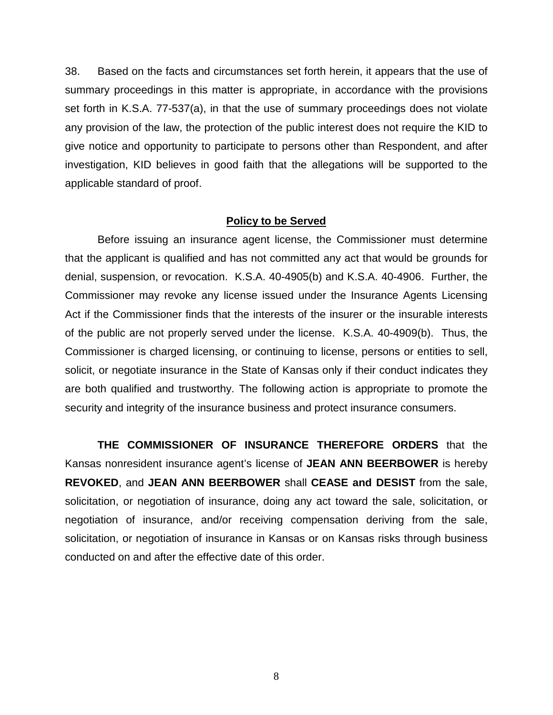38. Based on the facts and circumstances set forth herein, it appears that the use of summary proceedings in this matter is appropriate, in accordance with the provisions set forth in K.S.A. 77-537(a), in that the use of summary proceedings does not violate any provision of the law, the protection of the public interest does not require the KID to give notice and opportunity to participate to persons other than Respondent, and after investigation, KID believes in good faith that the allegations will be supported to the applicable standard of proof.

### **Policy to be Served**

Before issuing an insurance agent license, the Commissioner must determine that the applicant is qualified and has not committed any act that would be grounds for denial, suspension, or revocation. K.S.A. 40-4905(b) and K.S.A. 40-4906. Further, the Commissioner may revoke any license issued under the Insurance Agents Licensing Act if the Commissioner finds that the interests of the insurer or the insurable interests of the public are not properly served under the license. K.S.A. 40-4909(b). Thus, the Commissioner is charged licensing, or continuing to license, persons or entities to sell, solicit, or negotiate insurance in the State of Kansas only if their conduct indicates they are both qualified and trustworthy. The following action is appropriate to promote the security and integrity of the insurance business and protect insurance consumers.

**THE COMMISSIONER OF INSURANCE THEREFORE ORDERS** that the Kansas nonresident insurance agent's license of **JEAN ANN BEERBOWER** is hereby **REVOKED**, and **JEAN ANN BEERBOWER** shall **CEASE and DESIST** from the sale, solicitation, or negotiation of insurance, doing any act toward the sale, solicitation, or negotiation of insurance, and/or receiving compensation deriving from the sale, solicitation, or negotiation of insurance in Kansas or on Kansas risks through business conducted on and after the effective date of this order.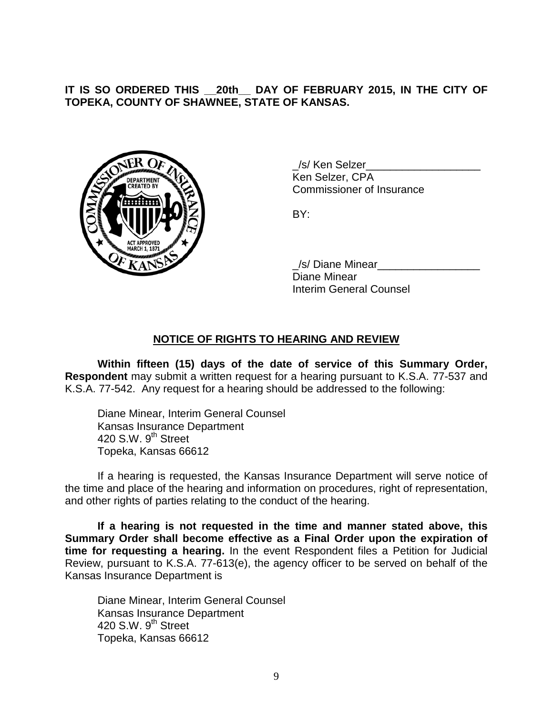**IT IS SO ORDERED THIS \_\_20th\_\_ DAY OF FEBRUARY 2015, IN THE CITY OF TOPEKA, COUNTY OF SHAWNEE, STATE OF KANSAS.**



\_/s/ Ken Selzer\_\_\_\_\_\_\_\_\_\_\_\_\_\_\_\_\_\_\_ Ken Selzer, CPA Commissioner of Insurance

BY:

\_/s/ Diane Minear\_\_\_\_\_\_\_\_\_\_\_\_\_\_\_\_\_ Diane Minear Interim General Counsel

## **NOTICE OF RIGHTS TO HEARING AND REVIEW**

**Within fifteen (15) days of the date of service of this Summary Order, Respondent** may submit a written request for a hearing pursuant to K.S.A. 77-537 and K.S.A. 77-542. Any request for a hearing should be addressed to the following:

Diane Minear, Interim General Counsel Kansas Insurance Department 420 S.W. 9<sup>th</sup> Street Topeka, Kansas 66612

If a hearing is requested, the Kansas Insurance Department will serve notice of the time and place of the hearing and information on procedures, right of representation, and other rights of parties relating to the conduct of the hearing.

**If a hearing is not requested in the time and manner stated above, this Summary Order shall become effective as a Final Order upon the expiration of time for requesting a hearing.** In the event Respondent files a Petition for Judicial Review, pursuant to K.S.A. 77-613(e), the agency officer to be served on behalf of the Kansas Insurance Department is

Diane Minear, Interim General Counsel Kansas Insurance Department 420 S.W.  $9<sup>th</sup>$  Street Topeka, Kansas 66612